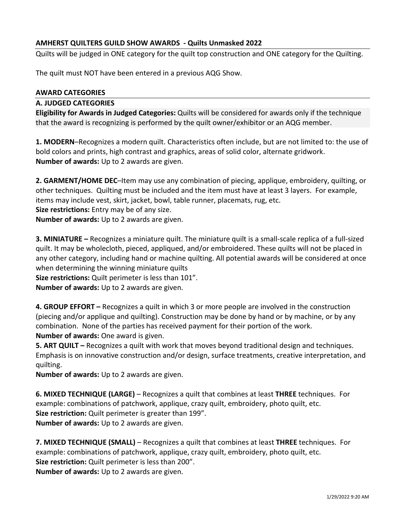## **AMHERST QUILTERS GUILD SHOW AWARDS - Quilts Unmasked 2022**

Quilts will be judged in ONE category for the quilt top construction and ONE category for the Quilting.

The quilt must NOT have been entered in a previous AQG Show.

## **AWARD CATEGORIES**

## **A. JUDGED CATEGORIES**

**Eligibility for Awards in Judged Categories:** Quilts will be considered for awards only if the technique that the award is recognizing is performed by the quilt owner/exhibitor or an AQG member.

**1. MODERN**–Recognizes a modern quilt. Characteristics often include, but are not limited to: the use of bold colors and prints, high contrast and graphics, areas of solid color, alternate gridwork. **Number of awards:** Up to 2 awards are given.

**2. GARMENT/HOME DEC**–Item may use any combination of piecing, applique, embroidery, quilting, or other techniques. Quilting must be included and the item must have at least 3 layers. For example, items may include vest, skirt, jacket, bowl, table runner, placemats, rug, etc. **Size restrictions:** Entry may be of any size. **Number of awards:** Up to 2 awards are given.

**3. MINIATURE –** Recognizes a miniature quilt. The miniature quilt is a small-scale replica of a full-sized quilt. It may be wholecloth, pieced, appliqued, and/or embroidered. These quilts will not be placed in any other category, including hand or machine quilting. All potential awards will be considered at once when determining the winning miniature quilts

**Size restrictions:** Quilt perimeter is less than 101".

**Number of awards:** Up to 2 awards are given.

**4. GROUP EFFORT –** Recognizes a quilt in which 3 or more people are involved in the construction (piecing and/or applique and quilting). Construction may be done by hand or by machine, or by any combination. None of the parties has received payment for their portion of the work. **Number of awards:** One award is given.

**5. ART QUILT –** Recognizes a quilt with work that moves beyond traditional design and techniques. Emphasis is on innovative construction and/or design, surface treatments, creative interpretation, and quilting.

**Number of awards:** Up to 2 awards are given.

**6. MIXED TECHNIQUE (LARGE)** – Recognizes a quilt that combines at least **THREE** techniques. For example: combinations of patchwork, applique, crazy quilt, embroidery, photo quilt, etc. **Size restriction:** Quilt perimeter is greater than 199". **Number of awards:** Up to 2 awards are given.

**7. MIXED TECHNIQUE (SMALL)** – Recognizes a quilt that combines at least **THREE** techniques. For example: combinations of patchwork, applique, crazy quilt, embroidery, photo quilt, etc. **Size restriction:** Quilt perimeter is less than 200". **Number of awards:** Up to 2 awards are given.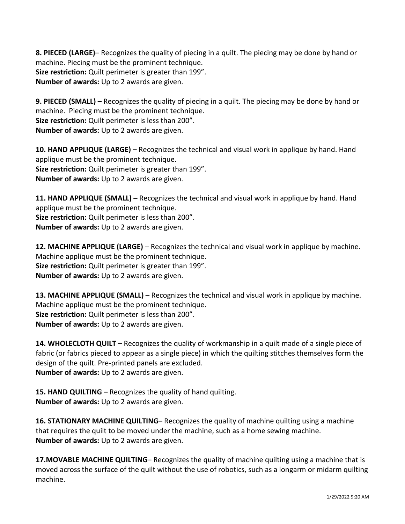**8. PIECED (LARGE)**– Recognizes the quality of piecing in a quilt. The piecing may be done by hand or machine. Piecing must be the prominent technique. **Size restriction:** Quilt perimeter is greater than 199". **Number of awards:** Up to 2 awards are given.

**9. PIECED (SMALL)** – Recognizes the quality of piecing in a quilt. The piecing may be done by hand or machine. Piecing must be the prominent technique. **Size restriction:** Quilt perimeter is less than 200". **Number of awards:** Up to 2 awards are given.

**10. HAND APPLIQUE (LARGE) –** Recognizes the technical and visual work in applique by hand. Hand applique must be the prominent technique. **Size restriction:** Quilt perimeter is greater than 199". **Number of awards:** Up to 2 awards are given.

**11. HAND APPLIQUE (SMALL) –** Recognizes the technical and visual work in applique by hand. Hand applique must be the prominent technique. **Size restriction:** Quilt perimeter is less than 200". **Number of awards:** Up to 2 awards are given.

**12. MACHINE APPLIQUE (LARGE)** – Recognizes the technical and visual work in applique by machine. Machine applique must be the prominent technique. **Size restriction:** Quilt perimeter is greater than 199". **Number of awards:** Up to 2 awards are given.

**13. MACHINE APPLIQUE (SMALL)** – Recognizes the technical and visual work in applique by machine. Machine applique must be the prominent technique. **Size restriction:** Quilt perimeter is less than 200". **Number of awards:** Up to 2 awards are given.

**14. WHOLECLOTH QUILT –** Recognizes the quality of workmanship in a quilt made of a single piece of fabric (or fabrics pieced to appear as a single piece) in which the quilting stitches themselves form the design of the quilt. Pre-printed panels are excluded. **Number of awards:** Up to 2 awards are given.

**15. HAND QUILTING** – Recognizes the quality of hand quilting. **Number of awards:** Up to 2 awards are given.

**16. STATIONARY MACHINE QUILTING**– Recognizes the quality of machine quilting using a machine that requires the quilt to be moved under the machine, such as a home sewing machine. **Number of awards:** Up to 2 awards are given.

**17.MOVABLE MACHINE QUILTING**– Recognizes the quality of machine quilting using a machine that is moved across the surface of the quilt without the use of robotics, such as a longarm or midarm quilting machine.